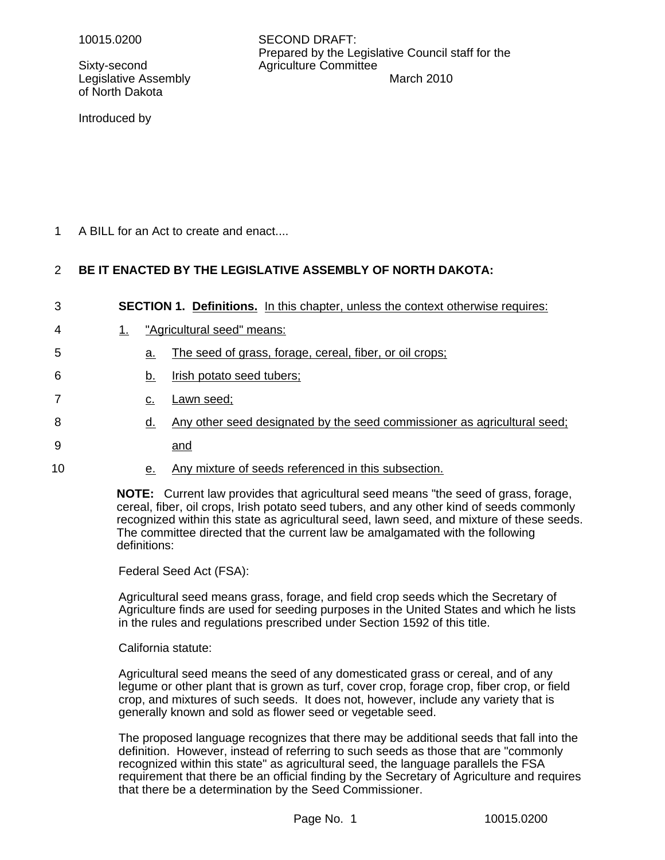Sixty-second Agriculture Committee of North Dakota

10015.0200 SECOND DRAFT: Prepared by the Legislative Council staff for the Legislative Assembly **March 2010** March 2010

Introduced by

A BILL for an Act to create and enact.... 1

### **BE IT ENACTED BY THE LEGISLATIVE ASSEMBLY OF NORTH DAKOTA:** 2

| 3  | <b>SECTION 1. Definitions.</b> In this chapter, unless the context otherwise requires: |                                                                          |  |
|----|----------------------------------------------------------------------------------------|--------------------------------------------------------------------------|--|
| 4  |                                                                                        | "Agricultural seed" means:                                               |  |
| 5  | а.                                                                                     | The seed of grass, forage, cereal, fiber, or oil crops;                  |  |
| 6  | b.                                                                                     | Irish potato seed tubers;                                                |  |
| 7  | c.                                                                                     | Lawn seed;                                                               |  |
| 8  | d.                                                                                     | Any other seed designated by the seed commissioner as agricultural seed; |  |
| 9  |                                                                                        | and                                                                      |  |
| 10 | е.                                                                                     | Any mixture of seeds referenced in this subsection.                      |  |

**NOTE:** Current law provides that agricultural seed means "the seed of grass, forage, cereal, fiber, oil crops, Irish potato seed tubers, and any other kind of seeds commonly recognized within this state as agricultural seed, lawn seed, and mixture of these seeds. The committee directed that the current law be amalgamated with the following definitions:

Federal Seed Act (FSA):

Agricultural seed means grass, forage, and field crop seeds which the Secretary of Agriculture finds are used for seeding purposes in the United States and which he lists in the rules and regulations prescribed under Section 1592 of this title.

California statute:

Agricultural seed means the seed of any domesticated grass or cereal, and of any legume or other plant that is grown as turf, cover crop, forage crop, fiber crop, or field crop, and mixtures of such seeds. It does not, however, include any variety that is generally known and sold as flower seed or vegetable seed.

The proposed language recognizes that there may be additional seeds that fall into the definition. However, instead of referring to such seeds as those that are "commonly recognized within this state" as agricultural seed, the language parallels the FSA requirement that there be an official finding by the Secretary of Agriculture and requires that there be a determination by the Seed Commissioner.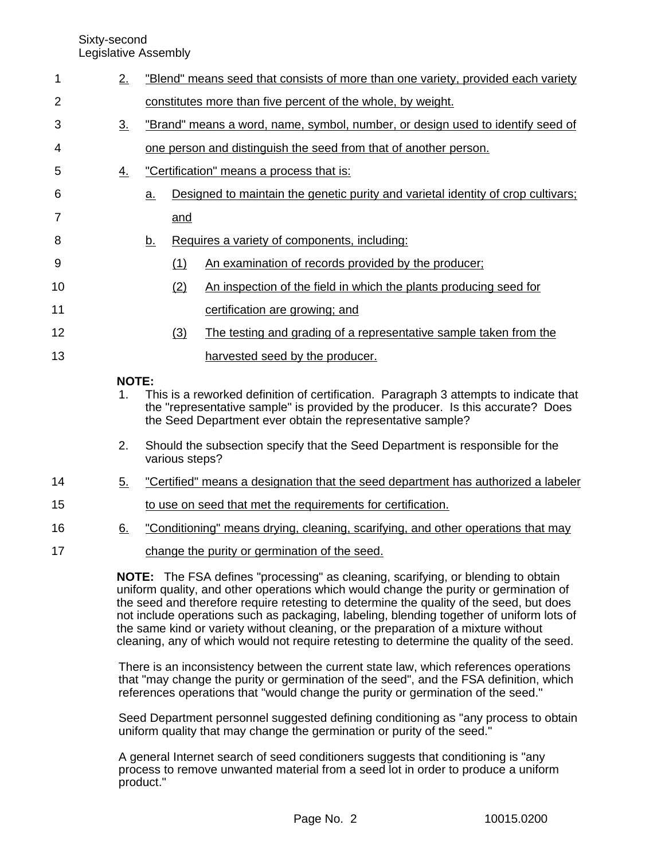Sixty-second

Legislative Assembly

| 1              | 2.                      |                | "Blend" means seed that consists of more than one variety, provided each variety                                                                                                                                                                                     |  |  |
|----------------|-------------------------|----------------|----------------------------------------------------------------------------------------------------------------------------------------------------------------------------------------------------------------------------------------------------------------------|--|--|
| $\overline{2}$ |                         |                | constitutes more than five percent of the whole, by weight.                                                                                                                                                                                                          |  |  |
| 3              | 3.                      |                | "Brand" means a word, name, symbol, number, or design used to identify seed of                                                                                                                                                                                       |  |  |
| 4              |                         |                | one person and distinguish the seed from that of another person.                                                                                                                                                                                                     |  |  |
| 5              | $\overline{4}$ .        |                | "Certification" means a process that is:                                                                                                                                                                                                                             |  |  |
| 6              |                         | a.             | Designed to maintain the genetic purity and varietal identity of crop cultivars;                                                                                                                                                                                     |  |  |
| 7              |                         | and            |                                                                                                                                                                                                                                                                      |  |  |
| 8              |                         | <u>b.</u>      | Requires a variety of components, including:                                                                                                                                                                                                                         |  |  |
| 9              |                         | (1)            | An examination of records provided by the producer;                                                                                                                                                                                                                  |  |  |
| 10             |                         | (2)            | An inspection of the field in which the plants producing seed for                                                                                                                                                                                                    |  |  |
| 11             |                         |                | certification are growing; and                                                                                                                                                                                                                                       |  |  |
| 12             |                         | (3)            | The testing and grading of a representative sample taken from the                                                                                                                                                                                                    |  |  |
| 13             |                         |                | harvested seed by the producer.                                                                                                                                                                                                                                      |  |  |
|                | <b>NOTE:</b><br>$1_{-}$ |                | This is a reworked definition of certification. Paragraph 3 attempts to indicate that<br>the "representative sample" is provided by the producer. Is this accurate? Does<br>the Seed Department ever obtain the representative sample?                               |  |  |
|                | 2.                      | various steps? | Should the subsection specify that the Seed Department is responsible for the                                                                                                                                                                                        |  |  |
| 14             | <u>5.</u>               |                | "Certified" means a designation that the seed department has authorized a labeler                                                                                                                                                                                    |  |  |
| 15             |                         |                | to use on seed that met the requirements for certification.                                                                                                                                                                                                          |  |  |
| 16             | 6.                      |                | "Conditioning" means drying, cleaning, scarifying, and other operations that may                                                                                                                                                                                     |  |  |
| 17             |                         |                | change the purity or germination of the seed.                                                                                                                                                                                                                        |  |  |
|                |                         |                | NOTE: The FSA defines "processing" as cleaning, scarifying, or blending to obtain<br>uniform quality, and other operations which would change the purity or germination of<br>the seed and therefore require retesting to determine the quality of the seed but does |  |  |

the seed and therefore require retesting to determine the quality of the seed, but does not include operations such as packaging, labeling, blending together of uniform lots of the same kind or variety without cleaning, or the preparation of a mixture without cleaning, any of which would not require retesting to determine the quality of the seed.

There is an inconsistency between the current state law, which references operations that "may change the purity or germination of the seed", and the FSA definition, which references operations that "would change the purity or germination of the seed."

Seed Department personnel suggested defining conditioning as "any process to obtain uniform quality that may change the germination or purity of the seed."

A general Internet search of seed conditioners suggests that conditioning is "any process to remove unwanted material from a seed lot in order to produce a uniform product."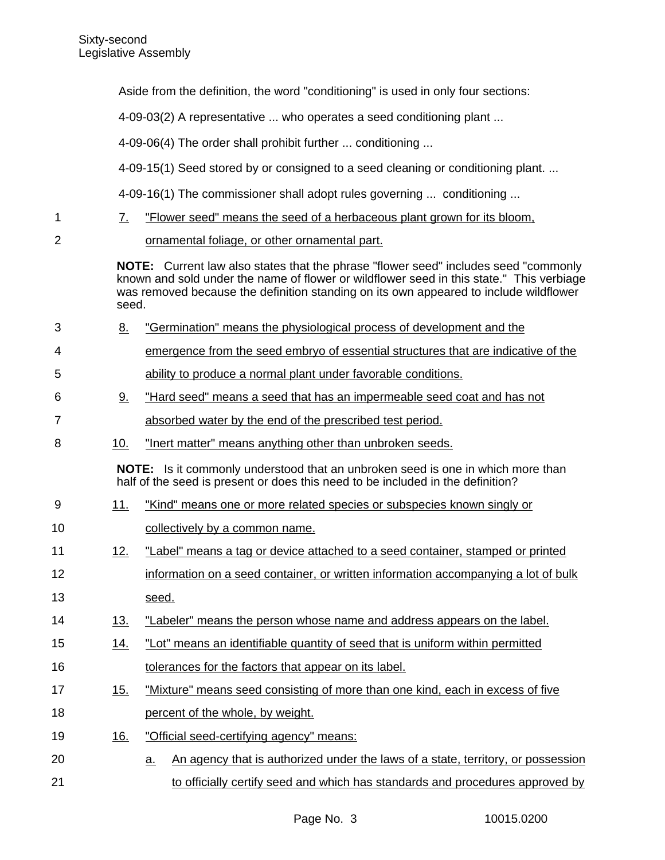1

2

3

4

5

6

7

8

9

Aside from the definition, the word "conditioning" is used in only four sections: 4-09-03(2) A representative ... who operates a seed conditioning plant ... 4-09-06(4) The order shall prohibit further ... conditioning ... 4-09-15(1) Seed stored by or consigned to a seed cleaning or conditioning plant. ... 4-09-16(1) The commissioner shall adopt rules governing ... conditioning ... 7. "Flower seed" means the seed of a herbaceous plant grown for its bloom, ornamental foliage, or other ornamental part. **NOTE:** Current law also states that the phrase "flower seed" includes seed "commonly known and sold under the name of flower or wildflower seed in this state." This verbiage was removed because the definition standing on its own appeared to include wildflower seed. 8. "Germination" means the physiological process of development and the emergence from the seed embryo of essential structures that are indicative of the ability to produce a normal plant under favorable conditions. 9. "Hard seed" means a seed that has an impermeable seed coat and has not absorbed water by the end of the prescribed test period. 10. "Inert matter" means anything other than unbroken seeds. **NOTE:** Is it commonly understood that an unbroken seed is one in which more than half of the seed is present or does this need to be included in the definition? 11. "Kind" means one or more related species or subspecies known singly or collectively by a common name. 12. "Label" means a tag or device attached to a seed container, stamped or printed information on a seed container, or written information accompanying a lot of bulk seed. 13. "Labeler" means the person whose name and address appears on the label. 14. "Lot" means an identifiable quantity of seed that is uniform within permitted tolerances for the factors that appear on its label. 15. "Mixture" means seed consisting of more than one kind, each in excess of five percent of the whole, by weight. 16. "Official seed-certifying agency" means: 10 11 12 13 14 15 16 17 18 19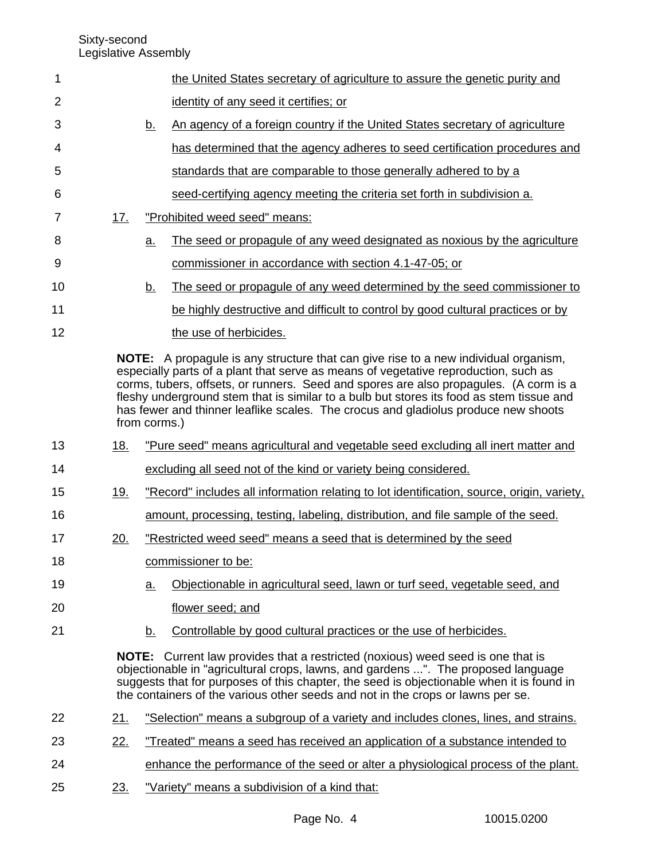| 1              |            |                   | the United States secretary of agriculture to assure the genetic purity and                                                                                                                                                                                                                                                                                                                                                                                  |
|----------------|------------|-------------------|--------------------------------------------------------------------------------------------------------------------------------------------------------------------------------------------------------------------------------------------------------------------------------------------------------------------------------------------------------------------------------------------------------------------------------------------------------------|
| $\overline{2}$ |            |                   | identity of any seed it certifies; or                                                                                                                                                                                                                                                                                                                                                                                                                        |
| 3              |            | <u>b.</u>         | An agency of a foreign country if the United States secretary of agriculture                                                                                                                                                                                                                                                                                                                                                                                 |
| 4              |            |                   | has determined that the agency adheres to seed certification procedures and                                                                                                                                                                                                                                                                                                                                                                                  |
| 5              |            |                   | standards that are comparable to those generally adhered to by a                                                                                                                                                                                                                                                                                                                                                                                             |
| 6              |            |                   | seed-certifying agency meeting the criteria set forth in subdivision a.                                                                                                                                                                                                                                                                                                                                                                                      |
| 7              | 17.        |                   | "Prohibited weed seed" means:                                                                                                                                                                                                                                                                                                                                                                                                                                |
| 8              |            | <u>a</u>          | The seed or propagule of any weed designated as noxious by the agriculture                                                                                                                                                                                                                                                                                                                                                                                   |
| 9              |            |                   | commissioner in accordance with section 4.1-47-05; or                                                                                                                                                                                                                                                                                                                                                                                                        |
| 10             |            | <u>b.</u>         | The seed or propagule of any weed determined by the seed commissioner to                                                                                                                                                                                                                                                                                                                                                                                     |
| 11             |            |                   | be highly destructive and difficult to control by good cultural practices or by                                                                                                                                                                                                                                                                                                                                                                              |
| 12             |            |                   | the use of herbicides.                                                                                                                                                                                                                                                                                                                                                                                                                                       |
|                |            | from corms.)      | <b>NOTE:</b> A propagule is any structure that can give rise to a new individual organism,<br>especially parts of a plant that serve as means of vegetative reproduction, such as<br>corms, tubers, offsets, or runners. Seed and spores are also propagules. (A corm is a<br>fleshy underground stem that is similar to a bulb but stores its food as stem tissue and<br>has fewer and thinner leaflike scales. The crocus and gladiolus produce new shoots |
| 13             | 18.        |                   | "Pure seed" means agricultural and vegetable seed excluding all inert matter and                                                                                                                                                                                                                                                                                                                                                                             |
| 14             |            |                   | excluding all seed not of the kind or variety being considered.                                                                                                                                                                                                                                                                                                                                                                                              |
| 15             | <u>19.</u> |                   | "Record" includes all information relating to lot identification, source, origin, variety,                                                                                                                                                                                                                                                                                                                                                                   |
| 16             |            |                   | amount, processing, testing, labeling, distribution, and file sample of the seed.                                                                                                                                                                                                                                                                                                                                                                            |
| 17             | 20.        |                   | "Restricted weed seed" means a seed that is determined by the seed                                                                                                                                                                                                                                                                                                                                                                                           |
| 18             |            |                   | commissioner to be:                                                                                                                                                                                                                                                                                                                                                                                                                                          |
| 19             |            | $\underline{a}$ . | Objectionable in agricultural seed, lawn or turf seed, vegetable seed, and                                                                                                                                                                                                                                                                                                                                                                                   |
| 20             |            |                   | flower seed; and                                                                                                                                                                                                                                                                                                                                                                                                                                             |
| 21             |            | <u>b.</u>         | Controllable by good cultural practices or the use of herbicides.                                                                                                                                                                                                                                                                                                                                                                                            |
|                |            |                   | <b>NOTE:</b> Current law provides that a restricted (noxious) weed seed is one that is<br>objectionable in "agricultural crops, lawns, and gardens ". The proposed language<br>suggests that for purposes of this chapter, the seed is objectionable when it is found in<br>the containers of the various other seeds and not in the crops or lawns per se.                                                                                                  |
| 22             | <u>21.</u> |                   | "Selection" means a subgroup of a variety and includes clones, lines, and strains.                                                                                                                                                                                                                                                                                                                                                                           |
| 23             | 22.        |                   | "Treated" means a seed has received an application of a substance intended to                                                                                                                                                                                                                                                                                                                                                                                |
| 24             |            |                   | enhance the performance of the seed or alter a physiological process of the plant.                                                                                                                                                                                                                                                                                                                                                                           |
| 25             | 23.        |                   | "Variety" means a subdivision of a kind that:                                                                                                                                                                                                                                                                                                                                                                                                                |
|                |            |                   |                                                                                                                                                                                                                                                                                                                                                                                                                                                              |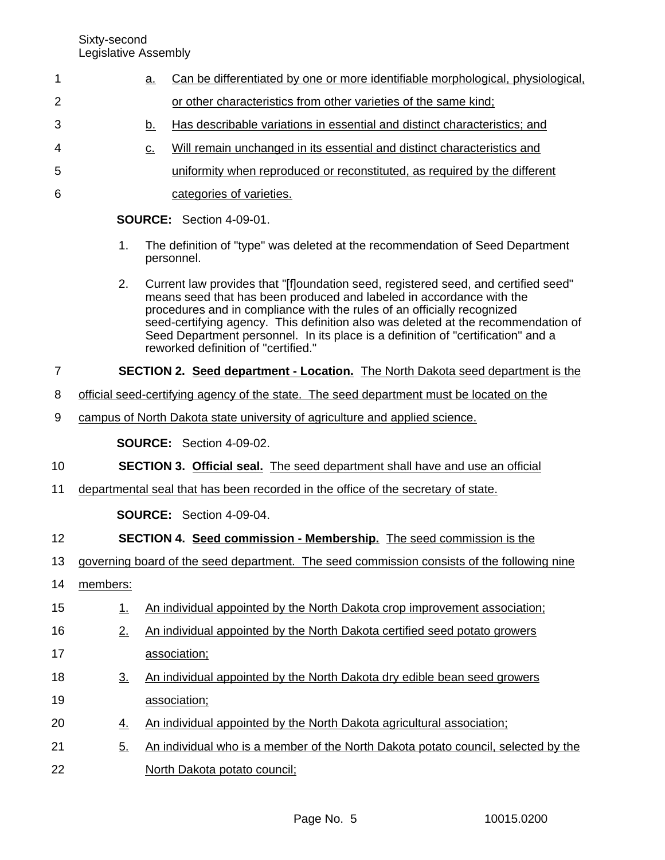| 1              |                                 | <u>a.</u>         | Can be differentiated by one or more identifiable morphological, physiological,                                                                                                                                                                                                                                                                                                                                                                       |  |  |  |  |
|----------------|---------------------------------|-------------------|-------------------------------------------------------------------------------------------------------------------------------------------------------------------------------------------------------------------------------------------------------------------------------------------------------------------------------------------------------------------------------------------------------------------------------------------------------|--|--|--|--|
| $\overline{2}$ |                                 |                   | or other characteristics from other varieties of the same kind;                                                                                                                                                                                                                                                                                                                                                                                       |  |  |  |  |
| 3              |                                 | <u>b.</u>         | Has describable variations in essential and distinct characteristics; and                                                                                                                                                                                                                                                                                                                                                                             |  |  |  |  |
| 4              |                                 | $\underline{C}$ . | Will remain unchanged in its essential and distinct characteristics and                                                                                                                                                                                                                                                                                                                                                                               |  |  |  |  |
| 5              |                                 |                   | uniformity when reproduced or reconstituted, as required by the different                                                                                                                                                                                                                                                                                                                                                                             |  |  |  |  |
| 6              |                                 |                   | categories of varieties.                                                                                                                                                                                                                                                                                                                                                                                                                              |  |  |  |  |
|                | <b>SOURCE:</b> Section 4-09-01. |                   |                                                                                                                                                                                                                                                                                                                                                                                                                                                       |  |  |  |  |
|                | 1.                              |                   | The definition of "type" was deleted at the recommendation of Seed Department<br>personnel.                                                                                                                                                                                                                                                                                                                                                           |  |  |  |  |
|                | 2.                              |                   | Current law provides that "[f]oundation seed, registered seed, and certified seed"<br>means seed that has been produced and labeled in accordance with the<br>procedures and in compliance with the rules of an officially recognized<br>seed-certifying agency. This definition also was deleted at the recommendation of<br>Seed Department personnel. In its place is a definition of "certification" and a<br>reworked definition of "certified." |  |  |  |  |
| 7              |                                 |                   | <b>SECTION 2. Seed department - Location.</b> The North Dakota seed department is the                                                                                                                                                                                                                                                                                                                                                                 |  |  |  |  |
| 8              |                                 |                   | official seed-certifying agency of the state. The seed department must be located on the                                                                                                                                                                                                                                                                                                                                                              |  |  |  |  |
| 9              |                                 |                   | campus of North Dakota state university of agriculture and applied science.                                                                                                                                                                                                                                                                                                                                                                           |  |  |  |  |
|                | <b>SOURCE:</b> Section 4-09-02. |                   |                                                                                                                                                                                                                                                                                                                                                                                                                                                       |  |  |  |  |
| 10             |                                 |                   | <b>SECTION 3. Official seal.</b> The seed department shall have and use an official                                                                                                                                                                                                                                                                                                                                                                   |  |  |  |  |
| 11             |                                 |                   | departmental seal that has been recorded in the office of the secretary of state.                                                                                                                                                                                                                                                                                                                                                                     |  |  |  |  |
|                | <b>SOURCE:</b> Section 4-09-04. |                   |                                                                                                                                                                                                                                                                                                                                                                                                                                                       |  |  |  |  |
| 12             |                                 |                   | <b>SECTION 4. Seed commission - Membership.</b> The seed commission is the                                                                                                                                                                                                                                                                                                                                                                            |  |  |  |  |
| 13             |                                 |                   | governing board of the seed department. The seed commission consists of the following nine                                                                                                                                                                                                                                                                                                                                                            |  |  |  |  |
| 14             | members:                        |                   |                                                                                                                                                                                                                                                                                                                                                                                                                                                       |  |  |  |  |
| 15             | 1.                              |                   | An individual appointed by the North Dakota crop improvement association;                                                                                                                                                                                                                                                                                                                                                                             |  |  |  |  |
| 16             | 2.                              |                   | An individual appointed by the North Dakota certified seed potato growers                                                                                                                                                                                                                                                                                                                                                                             |  |  |  |  |
| 17             |                                 |                   | association;                                                                                                                                                                                                                                                                                                                                                                                                                                          |  |  |  |  |
| 18             | $\underline{3}$ .               |                   | An individual appointed by the North Dakota dry edible bean seed growers                                                                                                                                                                                                                                                                                                                                                                              |  |  |  |  |
| 19             |                                 |                   | association;                                                                                                                                                                                                                                                                                                                                                                                                                                          |  |  |  |  |
| 20             | <u>4.</u>                       |                   | An individual appointed by the North Dakota agricultural association;                                                                                                                                                                                                                                                                                                                                                                                 |  |  |  |  |
| 21             | 5.                              |                   | An individual who is a member of the North Dakota potato council, selected by the                                                                                                                                                                                                                                                                                                                                                                     |  |  |  |  |
| 22             |                                 |                   | North Dakota potato council;                                                                                                                                                                                                                                                                                                                                                                                                                          |  |  |  |  |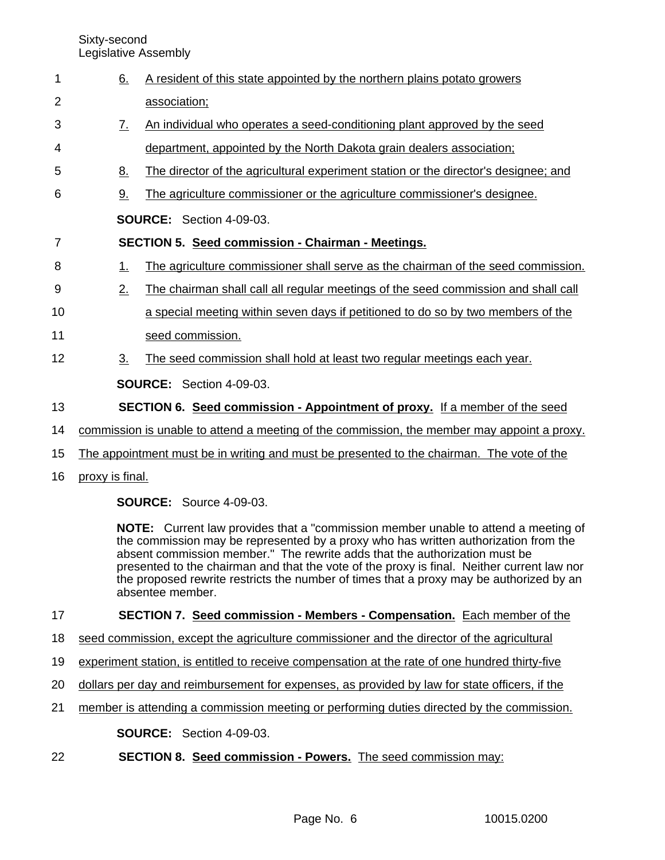Sixty-second

|    | Legislative Assembly |                                                                                                                                                                                                                                                                |
|----|----------------------|----------------------------------------------------------------------------------------------------------------------------------------------------------------------------------------------------------------------------------------------------------------|
| 1  | 6.                   | A resident of this state appointed by the northern plains potato growers                                                                                                                                                                                       |
| 2  |                      | association;                                                                                                                                                                                                                                                   |
| 3  | <u>Z.</u>            | An individual who operates a seed-conditioning plant approved by the seed                                                                                                                                                                                      |
| 4  |                      | department, appointed by the North Dakota grain dealers association;                                                                                                                                                                                           |
| 5  | 8.                   | The director of the agricultural experiment station or the director's designee; and                                                                                                                                                                            |
| 6  | 9.                   | The agriculture commissioner or the agriculture commissioner's designee.                                                                                                                                                                                       |
|    |                      | <b>SOURCE:</b> Section 4-09-03.                                                                                                                                                                                                                                |
| 7  |                      | <b>SECTION 5. Seed commission - Chairman - Meetings.</b>                                                                                                                                                                                                       |
| 8  | 1.                   | The agriculture commissioner shall serve as the chairman of the seed commission.                                                                                                                                                                               |
| 9  | 2.                   | The chairman shall call all regular meetings of the seed commission and shall call                                                                                                                                                                             |
| 10 |                      | a special meeting within seven days if petitioned to do so by two members of the                                                                                                                                                                               |
| 11 |                      | seed commission.                                                                                                                                                                                                                                               |
| 12 | 3 <sub>1</sub>       | The seed commission shall hold at least two regular meetings each year.                                                                                                                                                                                        |
|    |                      | <b>SOURCE:</b> Section 4-09-03.                                                                                                                                                                                                                                |
| 13 |                      | <b>SECTION 6. Seed commission - Appointment of proxy.</b> If a member of the seed                                                                                                                                                                              |
| 14 |                      | commission is unable to attend a meeting of the commission, the member may appoint a proxy.                                                                                                                                                                    |
| 15 |                      | The appointment must be in writing and must be presented to the chairman. The vote of the                                                                                                                                                                      |
| 16 | proxy is final.      |                                                                                                                                                                                                                                                                |
|    |                      | <b>SOURCE: Source 4-09-03.</b>                                                                                                                                                                                                                                 |
|    |                      | <b>NOTE:</b> Current law provides that a "commission member unable to attend a meeting of<br>the commission may be represented by a proxy who has written authorization from the<br>absent commission member." The rewrite adds that the authorization must be |

presented to the chairman and that the vote of the proxy is final. Neither current law nor the proposed rewrite restricts the number of times that a proxy may be authorized by an absentee member.

#### **SECTION 7. Seed commission - Members - Compensation.** Each member of the 17

- seed commission, except the agriculture commissioner and the director of the agricultural 18
- experiment station, is entitled to receive compensation at the rate of one hundred thirty-five 19
- dollars per day and reimbursement for expenses, as provided by law for state officers, if the 20
- member is attending a commission meeting or performing duties directed by the commission. 21

**SOURCE:** Section 4-09-03.

**SECTION 8. Seed commission - Powers.** The seed commission may: 22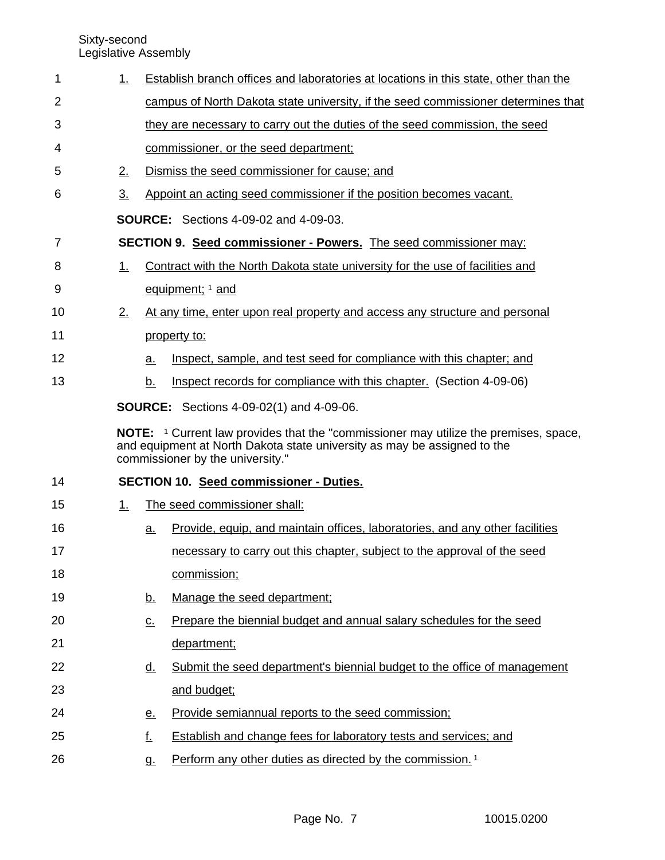| 1  | 1.             |                                                                             | Establish branch offices and laboratories at locations in this state, other than the                                                                                                                        |  |  |  |
|----|----------------|-----------------------------------------------------------------------------|-------------------------------------------------------------------------------------------------------------------------------------------------------------------------------------------------------------|--|--|--|
| 2  |                |                                                                             | campus of North Dakota state university, if the seed commissioner determines that                                                                                                                           |  |  |  |
| 3  |                | they are necessary to carry out the duties of the seed commission, the seed |                                                                                                                                                                                                             |  |  |  |
| 4  |                |                                                                             | commissioner, or the seed department;                                                                                                                                                                       |  |  |  |
| 5  | 2.             |                                                                             | Dismiss the seed commissioner for cause; and                                                                                                                                                                |  |  |  |
| 6  | 3 <sub>1</sub> |                                                                             | Appoint an acting seed commissioner if the position becomes vacant.                                                                                                                                         |  |  |  |
|    |                |                                                                             | <b>SOURCE:</b> Sections 4-09-02 and 4-09-03.                                                                                                                                                                |  |  |  |
| 7  |                |                                                                             | SECTION 9. Seed commissioner - Powers. The seed commissioner may:                                                                                                                                           |  |  |  |
| 8  | <u>1.</u>      |                                                                             | Contract with the North Dakota state university for the use of facilities and                                                                                                                               |  |  |  |
| 9  |                |                                                                             | equipment; 1 and                                                                                                                                                                                            |  |  |  |
| 10 | 2.             |                                                                             | At any time, enter upon real property and access any structure and personal                                                                                                                                 |  |  |  |
| 11 |                |                                                                             | property to:                                                                                                                                                                                                |  |  |  |
| 12 |                | a.                                                                          | Inspect, sample, and test seed for compliance with this chapter; and                                                                                                                                        |  |  |  |
| 13 |                | b.                                                                          | Inspect records for compliance with this chapter. (Section 4-09-06)                                                                                                                                         |  |  |  |
|    |                |                                                                             | <b>SOURCE:</b> Sections 4-09-02(1) and 4-09-06.                                                                                                                                                             |  |  |  |
|    |                |                                                                             |                                                                                                                                                                                                             |  |  |  |
|    |                |                                                                             | <b>NOTE:</b> 1 Current law provides that the "commissioner may utilize the premises, space,<br>and equipment at North Dakota state university as may be assigned to the<br>commissioner by the university." |  |  |  |
| 14 |                |                                                                             | SECTION 10. Seed commissioner - Duties.                                                                                                                                                                     |  |  |  |
| 15 | 1.             |                                                                             | The seed commissioner shall:                                                                                                                                                                                |  |  |  |
| 16 |                | a.                                                                          | Provide, equip, and maintain offices, laboratories, and any other facilities                                                                                                                                |  |  |  |
| 17 |                |                                                                             | necessary to carry out this chapter, subject to the approval of the seed                                                                                                                                    |  |  |  |
| 18 |                |                                                                             | commission;                                                                                                                                                                                                 |  |  |  |
| 19 |                | <u>b.</u>                                                                   | Manage the seed department;                                                                                                                                                                                 |  |  |  |
| 20 |                | $\underline{\mathsf{C}}$ .                                                  | Prepare the biennial budget and annual salary schedules for the seed                                                                                                                                        |  |  |  |
| 21 |                |                                                                             | department;                                                                                                                                                                                                 |  |  |  |
| 22 |                | <u>d.</u>                                                                   | Submit the seed department's biennial budget to the office of management                                                                                                                                    |  |  |  |
| 23 |                |                                                                             | and budget;                                                                                                                                                                                                 |  |  |  |
| 24 |                | <u>e.</u>                                                                   | Provide semiannual reports to the seed commission;                                                                                                                                                          |  |  |  |
| 25 |                | <u>f.</u>                                                                   | Establish and change fees for laboratory tests and services; and                                                                                                                                            |  |  |  |
| 26 |                | g.                                                                          | Perform any other duties as directed by the commission. <sup>1</sup>                                                                                                                                        |  |  |  |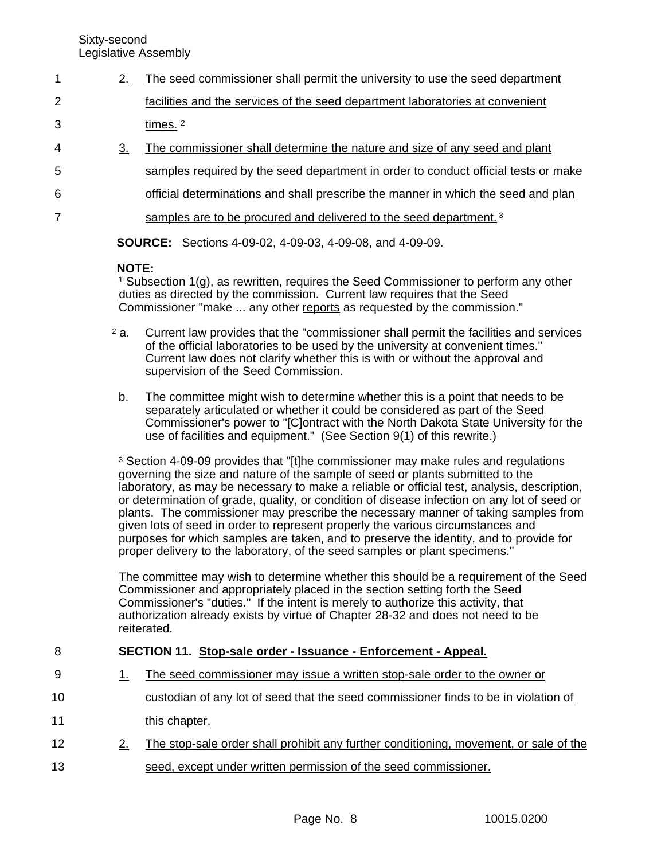5

7

- 2. The seed commissioner shall permit the university to use the seed department facilities and the services of the seed department laboratories at convenient times.<sup>2</sup> 3. The commissioner shall determine the nature and size of any seed and plant 1 2 3 4
	- samples required by the seed department in order to conduct official tests or make
- official determinations and shall prescribe the manner in which the seed and plan 6

samples are to be procured and delivered to the seed department.<sup>3</sup>

**SOURCE:** Sections 4-09-02, 4-09-03, 4-09-08, and 4-09-09.

# **NOTE:**

<sup>1</sup> Subsection 1(g), as rewritten, requires the Seed Commissioner to perform any other duties as directed by the commission. Current law requires that the Seed Commissioner "make ... any other reports as requested by the commission."

- <sup>2</sup> a. Current law provides that the "commissioner shall permit the facilities and services of the official laboratories to be used by the university at convenient times." Current law does not clarify whether this is with or without the approval and supervision of the Seed Commission.
- b. The committee might wish to determine whether this is a point that needs to be separately articulated or whether it could be considered as part of the Seed Commissioner's power to "[C]ontract with the North Dakota State University for the use of facilities and equipment." (See Section 9(1) of this rewrite.)

<sup>3</sup> Section 4-09-09 provides that "[t]he commissioner may make rules and regulations governing the size and nature of the sample of seed or plants submitted to the laboratory, as may be necessary to make a reliable or official test, analysis, description, or determination of grade, quality, or condition of disease infection on any lot of seed or plants. The commissioner may prescribe the necessary manner of taking samples from given lots of seed in order to represent properly the various circumstances and purposes for which samples are taken, and to preserve the identity, and to provide for proper delivery to the laboratory, of the seed samples or plant specimens."

The committee may wish to determine whether this should be a requirement of the Seed Commissioner and appropriately placed in the section setting forth the Seed Commissioner's "duties." If the intent is merely to authorize this activity, that authorization already exists by virtue of Chapter 28-32 and does not need to be reiterated.

### **SECTION 11. Stop-sale order - Issuance - Enforcement - Appeal.** 8

- 1. The seed commissioner may issue a written stop-sale order to the owner or 9
- custodian of any lot of seed that the seed commissioner finds to be in violation of this chapter. 10 11
- 2. The stop-sale order shall prohibit any further conditioning, movement, or sale of the seed, except under written permission of the seed commissioner. 12 13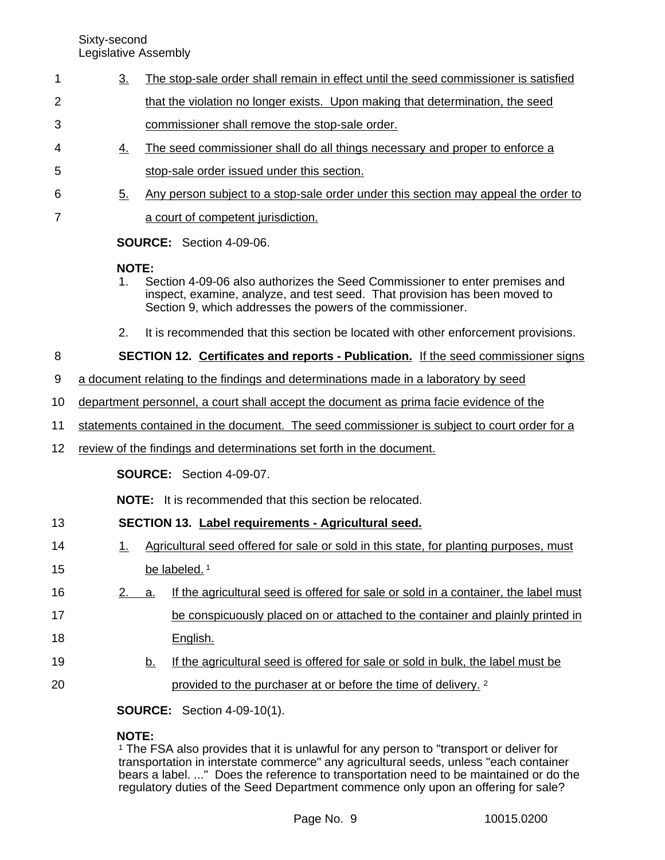- 3. The stop-sale order shall remain in effect until the seed commissioner is satisfied that the violation no longer exists. Upon making that determination, the seed commissioner shall remove the stop-sale order. 1 2 3
- 4. The seed commissioner shall do all things necessary and proper to enforce a stop-sale order issued under this section. 4 5
- 5. Any person subject to a stop-sale order under this section may appeal the order to 6 7
	- a court of competent jurisdiction.

**SOURCE:** Section 4-09-06.

# **NOTE:**

- 1. Section 4-09-06 also authorizes the Seed Commissioner to enter premises and inspect, examine, analyze, and test seed. That provision has been moved to Section 9, which addresses the powers of the commissioner.
- 2. It is recommended that this section be located with other enforcement provisions.

### **SECTION 12. Certificates and reports - Publication.** If the seed commissioner signs 8

- a document relating to the findings and determinations made in a laboratory by seed 9
- department personnel, a court shall accept the document as prima facie evidence of the 10
- statements contained in the document. The seed commissioner is subject to court order for a 11
- review of the findings and determinations set forth in the document. 12

**SOURCE:** Section 4-09-07.

**NOTE:** It is recommended that this section be relocated.

### **SECTION 13. Label requirements - Agricultural seed.** 13

- 1. Agricultural seed offered for sale or sold in this state, for planting purposes, must be labeled.<sup>1</sup> 14 15
- 2. a. If the agricultural seed is offered for sale or sold in a container, the label must be conspicuously placed on or attached to the container and plainly printed in English. 16 17 18
- b. If the agricultural seed is offered for sale or sold in bulk, the label must be provided to the purchaser at or before the time of delivery. <sup>2</sup> 19 20

**SOURCE:** Section 4-09-10(1).

# **NOTE:**

<sup>1</sup> The FSA also provides that it is unlawful for any person to "transport or deliver for transportation in interstate commerce" any agricultural seeds, unless "each container bears a label. ..." Does the reference to transportation need to be maintained or do the regulatory duties of the Seed Department commence only upon an offering for sale?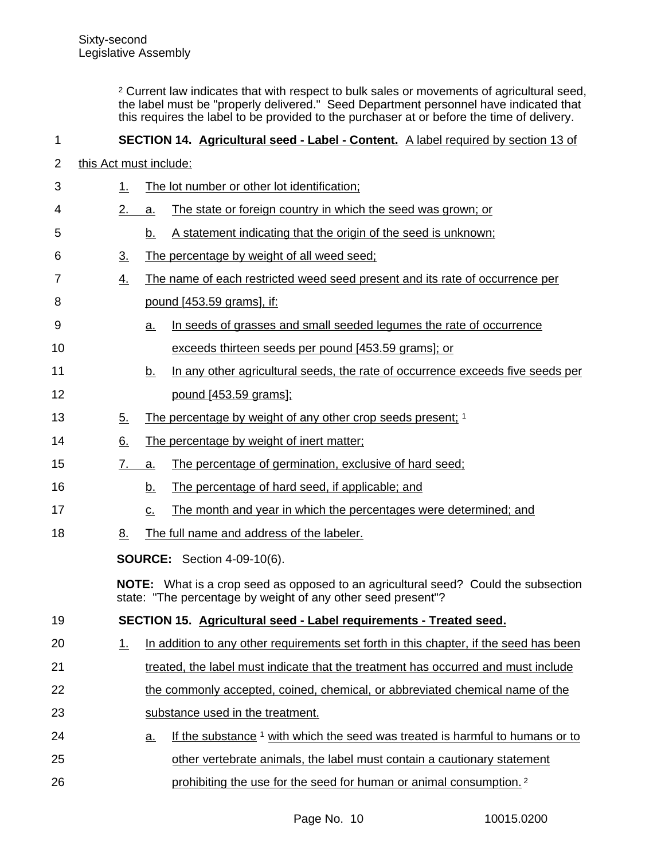<sup>2</sup> Current law indicates that with respect to bulk sales or movements of agricultural seed, the label must be "properly delivered." Seed Department personnel have indicated that this requires the label to be provided to the purchaser at or before the time of delivery.

### **SECTION 14. Agricultural seed - Label - Content.** A label required by section 13 of 1

- this Act must include: 2
- 1. The lot number or other lot identification; 2. a. The state or foreign country in which the seed was grown; or b. A statement indicating that the origin of the seed is unknown; 3. The percentage by weight of all weed seed; 4. The name of each restricted weed seed present and its rate of occurrence per pound [453.59 grams], if: a. In seeds of grasses and small seeded legumes the rate of occurrence exceeds thirteen seeds per pound [453.59 grams]; or b. In any other agricultural seeds, the rate of occurrence exceeds five seeds per pound [453.59 grams]; 5. The percentage by weight of any other crop seeds present; 1 6. The percentage by weight of inert matter; 7. a. The percentage of germination, exclusive of hard seed; b. The percentage of hard seed, if applicable; and c. The month and year in which the percentages were determined; and 8. The full name and address of the labeler. **SOURCE:** Section 4-09-10(6). **NOTE:** What is a crop seed as opposed to an agricultural seed? Could the subsection state: "The percentage by weight of any other seed present"? **SECTION 15. Agricultural seed - Label requirements - Treated seed.** 1. In addition to any other requirements set forth in this chapter, if the seed has been treated, the label must indicate that the treatment has occurred and must include the commonly accepted, coined, chemical, or abbreviated chemical name of the substance used in the treatment. a. If the substance 1 with which the seed was treated is harmful to humans or to other vertebrate animals, the label must contain a cautionary statement prohibiting the use for the seed for human or animal consumption. <sup>2</sup> 3 4 5 6 7 8 9 10 11 12 13 14 15 16 17 18 19 20 21 22 23 24 25 26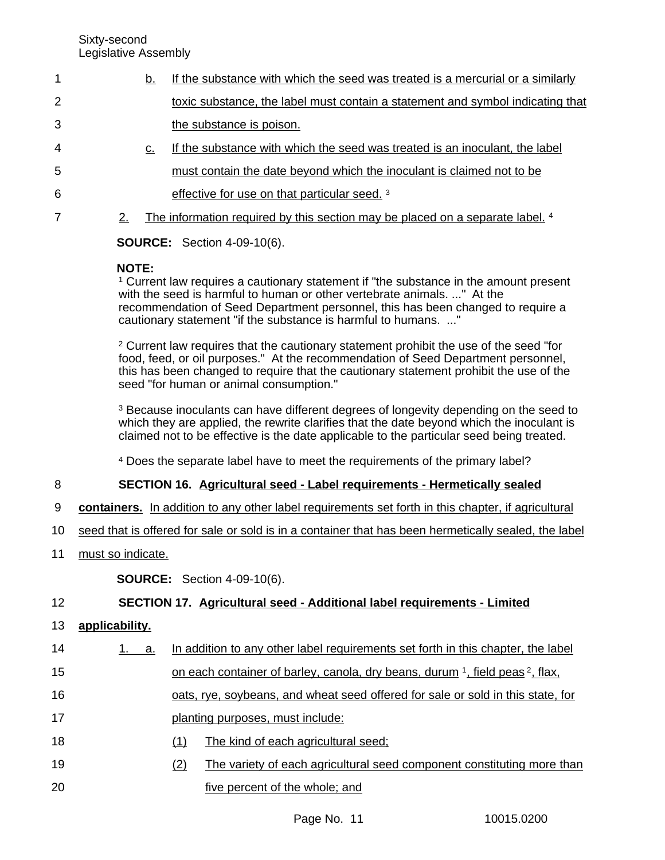- b. If the substance with which the seed was treated is a mercurial or a similarly toxic substance, the label must contain a statement and symbol indicating that the substance is poison. 1 2 3
- c. If the substance with which the seed was treated is an inoculant, the label must contain the date beyond which the inoculant is claimed not to be effective for use on that particular seed. <sup>3</sup> 4 5 6
	- 2. The information required by this section may be placed on a separate label. 4

**SOURCE:** Section 4-09-10(6).

# **NOTE:**

7

<sup>1</sup> Current law requires a cautionary statement if "the substance in the amount present with the seed is harmful to human or other vertebrate animals. ..." At the recommendation of Seed Department personnel, this has been changed to require a cautionary statement "if the substance is harmful to humans. ..."

<sup>2</sup> Current law requires that the cautionary statement prohibit the use of the seed "for food, feed, or oil purposes." At the recommendation of Seed Department personnel, this has been changed to require that the cautionary statement prohibit the use of the seed "for human or animal consumption."

<sup>3</sup> Because inoculants can have different degrees of longevity depending on the seed to which they are applied, the rewrite clarifies that the date beyond which the inoculant is claimed not to be effective is the date applicable to the particular seed being treated.

<sup>4</sup> Does the separate label have to meet the requirements of the primary label?

### **SECTION 16. Agricultural seed - Label requirements - Hermetically sealed** 8

- **containers.** In addition to any other label requirements set forth in this chapter, if agricultural 9
- seed that is offered for sale or sold is in a container that has been hermetically sealed, the label 10
- must so indicate. 11

**SOURCE:** Section 4-09-10(6).

### **SECTION 17. Agricultural seed - Additional label requirements - Limited** 12

**applicability.** 13

| 14 | 1. a. | In addition to any other label requirements set forth in this chapter, the label |
|----|-------|----------------------------------------------------------------------------------|
| 15 |       | on each container of barley, canola, dry beans, durum 1, field peas 2, flax,     |
| 16 |       | oats, rye, soybeans, and wheat seed offered for sale or sold in this state, for  |
| 17 |       | planting purposes, must include:                                                 |
| 18 |       | The kind of each agricultural seed;<br>(1)                                       |
| 19 |       | The variety of each agricultural seed component constituting more than<br>(2)    |
| 20 |       | five percent of the whole; and                                                   |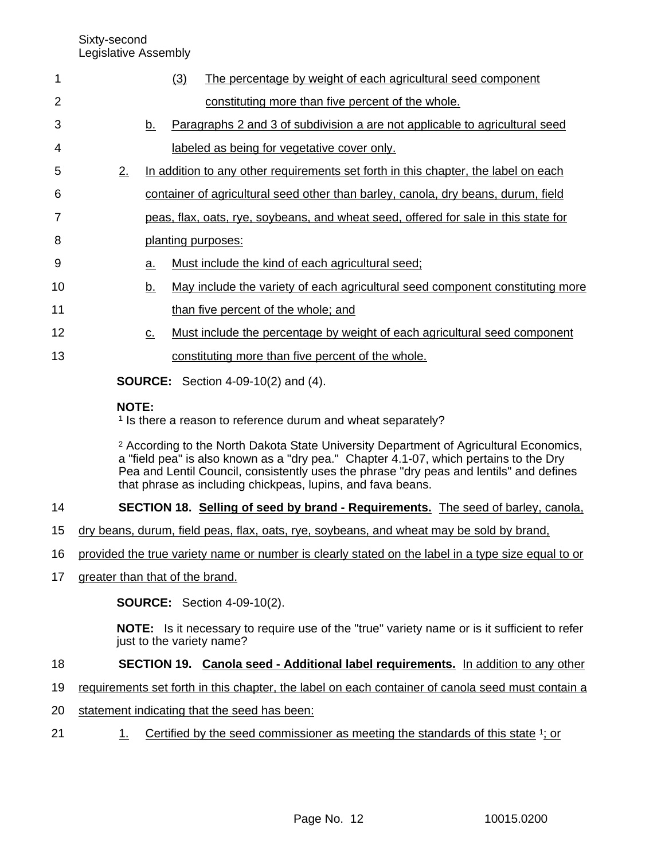| 1              |              |           | (3) | The percentage by weight of each agricultural seed component                                                                                                                                                                                                                          |
|----------------|--------------|-----------|-----|---------------------------------------------------------------------------------------------------------------------------------------------------------------------------------------------------------------------------------------------------------------------------------------|
| $\overline{2}$ |              |           |     | constituting more than five percent of the whole.                                                                                                                                                                                                                                     |
| 3              |              | <u>b.</u> |     | Paragraphs 2 and 3 of subdivision a are not applicable to agricultural seed                                                                                                                                                                                                           |
| 4              |              |           |     | labeled as being for vegetative cover only.                                                                                                                                                                                                                                           |
| 5              | 2.           |           |     | In addition to any other requirements set forth in this chapter, the label on each                                                                                                                                                                                                    |
| 6              |              |           |     | container of agricultural seed other than barley, canola, dry beans, durum, field                                                                                                                                                                                                     |
| 7              |              |           |     | peas, flax, oats, rye, soybeans, and wheat seed, offered for sale in this state for                                                                                                                                                                                                   |
| 8              |              |           |     | planting purposes:                                                                                                                                                                                                                                                                    |
| 9              |              | <u>a.</u> |     | Must include the kind of each agricultural seed;                                                                                                                                                                                                                                      |
| 10             |              | <u>b.</u> |     | May include the variety of each agricultural seed component constituting more                                                                                                                                                                                                         |
| 11             |              |           |     | than five percent of the whole; and                                                                                                                                                                                                                                                   |
| 12             |              | $C_{-}$   |     | Must include the percentage by weight of each agricultural seed component                                                                                                                                                                                                             |
| 13             |              |           |     | constituting more than five percent of the whole.                                                                                                                                                                                                                                     |
|                |              |           |     | <b>SOURCE:</b> Section 4-09-10(2) and (4).                                                                                                                                                                                                                                            |
|                | <b>NOTE:</b> |           |     | <sup>1</sup> Is there a reason to reference durum and wheat separately?                                                                                                                                                                                                               |
|                |              |           |     | <sup>2</sup> According to the North Dakota State University Department of Agricultural Economics,<br>a "field pea" is also known as a "dry pea." Chapter 4.1-07, which pertains to the Dry<br>Pea and Lentil Council, consistently uses the phrase "dry peas and lentils" and defines |

### **SECTION 18. Selling of seed by brand - Requirements.** The seed of barley, canola, 14

dry beans, durum, field peas, flax, oats, rye, soybeans, and wheat may be sold by brand, 15

that phrase as including chickpeas, lupins, and fava beans.

- provided the true variety name or number is clearly stated on the label in a type size equal to or 16
- greater than that of the brand. 17

**SOURCE:** Section 4-09-10(2).

**NOTE:** Is it necessary to require use of the "true" variety name or is it sufficient to refer just to the variety name?

### **SECTION 19. Canola seed - Additional label requirements.** In addition to any other 18

- requirements set forth in this chapter, the label on each container of canola seed must contain a 19
- statement indicating that the seed has been: 20
- 1. Certified by the seed commissioner as meeting the standards of this state <sup>1</sup>; or 21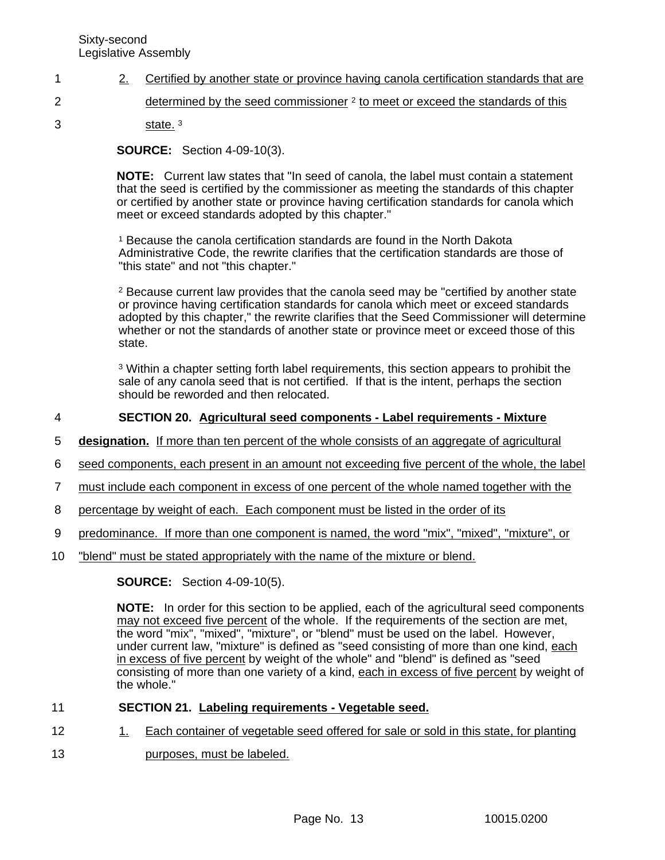- 2. Certified by another state or province having canola certification standards that are 1
- determined by the seed commissioner <sup>2</sup> to meet or exceed the standards of this 2
	- state.<sup>3</sup>

3

**SOURCE:** Section 4-09-10(3).

**NOTE:** Current law states that "In seed of canola, the label must contain a statement that the seed is certified by the commissioner as meeting the standards of this chapter or certified by another state or province having certification standards for canola which meet or exceed standards adopted by this chapter."

<sup>1</sup> Because the canola certification standards are found in the North Dakota Administrative Code, the rewrite clarifies that the certification standards are those of "this state" and not "this chapter."

<sup>2</sup> Because current law provides that the canola seed may be "certified by another state or province having certification standards for canola which meet or exceed standards adopted by this chapter," the rewrite clarifies that the Seed Commissioner will determine whether or not the standards of another state or province meet or exceed those of this state.

<sup>3</sup> Within a chapter setting forth label requirements, this section appears to prohibit the sale of any canola seed that is not certified. If that is the intent, perhaps the section should be reworded and then relocated.

### **SECTION 20. Agricultural seed components - Label requirements - Mixture** 4

- **designation.** If more than ten percent of the whole consists of an aggregate of agricultural 5
- seed components, each present in an amount not exceeding five percent of the whole, the label 6
- must include each component in excess of one percent of the whole named together with the 7
- percentage by weight of each. Each component must be listed in the order of its 8
- predominance. If more than one component is named, the word "mix", "mixed", "mixture", or 9
- "blend" must be stated appropriately with the name of the mixture or blend. 10

**SOURCE:** Section 4-09-10(5).

**NOTE:** In order for this section to be applied, each of the agricultural seed components may not exceed five percent of the whole. If the requirements of the section are met, the word "mix", "mixed", "mixture", or "blend" must be used on the label. However, under current law, "mixture" is defined as "seed consisting of more than one kind, each in excess of five percent by weight of the whole" and "blend" is defined as "seed consisting of more than one variety of a kind, each in excess of five percent by weight of the whole."

#### **SECTION 21. Labeling requirements - Vegetable seed.** 11

- 1. Each container of vegetable seed offered for sale or sold in this state, for planting 12
- purposes, must be labeled. 13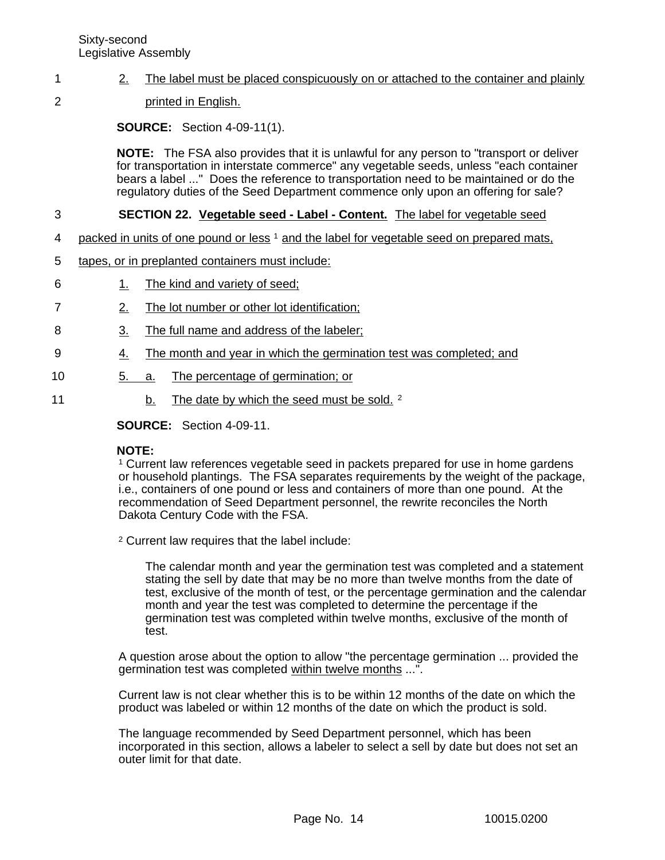### 2. The label must be placed conspicuously on or attached to the container and plainly 1

printed in English. 2

**SOURCE:** Section 4-09-11(1).

**NOTE:** The FSA also provides that it is unlawful for any person to "transport or deliver for transportation in interstate commerce" any vegetable seeds, unless "each container bears a label ..." Does the reference to transportation need to be maintained or do the regulatory duties of the Seed Department commence only upon an offering for sale?

### **SECTION 22. Vegetable seed - Label - Content.** The label for vegetable seed 3

- packed in units of one pound or less <sup>1</sup> and the label for vegetable seed on prepared mats, 4
- tapes, or in preplanted containers must include: 5
- 1. The kind and variety of seed; 6
- 2. The lot number or other lot identification; 7
- 3. The full name and address of the labeler; 8
- 4. The month and year in which the germination test was completed; and 9
- 5. a. The percentage of germination; or 10
	- b. The date by which the seed must be sold. 2

**SOURCE:** Section 4-09-11.

### **NOTE:**

11

<sup>1</sup> Current law references vegetable seed in packets prepared for use in home gardens or household plantings. The FSA separates requirements by the weight of the package, i.e., containers of one pound or less and containers of more than one pound. At the recommendation of Seed Department personnel, the rewrite reconciles the North Dakota Century Code with the FSA.

<sup>2</sup> Current law requires that the label include:

The calendar month and year the germination test was completed and a statement stating the sell by date that may be no more than twelve months from the date of test, exclusive of the month of test, or the percentage germination and the calendar month and year the test was completed to determine the percentage if the germination test was completed within twelve months, exclusive of the month of test.

A question arose about the option to allow "the percentage germination ... provided the germination test was completed within twelve months ...".

Current law is not clear whether this is to be within 12 months of the date on which the product was labeled or within 12 months of the date on which the product is sold.

The language recommended by Seed Department personnel, which has been incorporated in this section, allows a labeler to select a sell by date but does not set an outer limit for that date.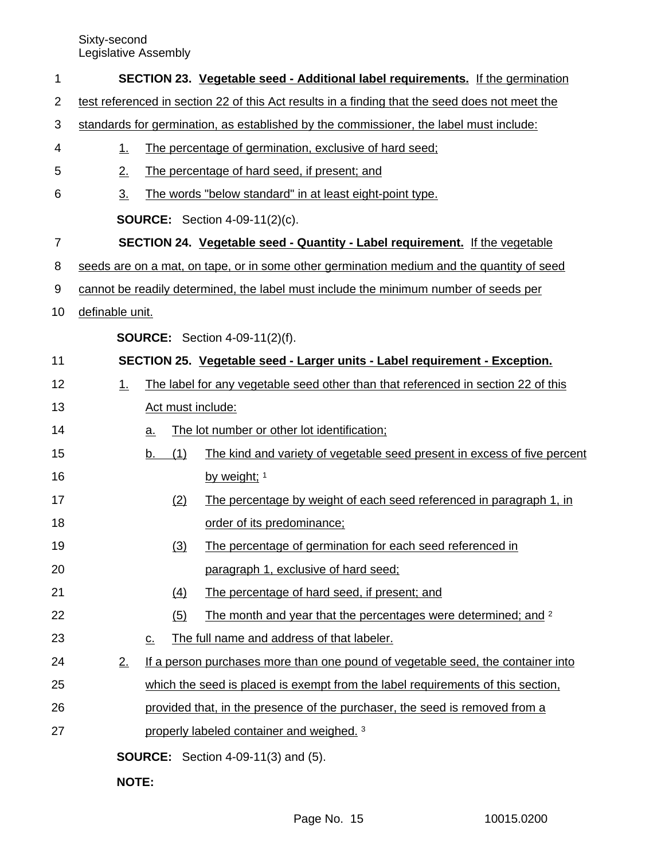| 1  |                   |                                                                                                |     | <b>SECTION 23. Vegetable seed - Additional label requirements.</b> If the germination     |  |
|----|-------------------|------------------------------------------------------------------------------------------------|-----|-------------------------------------------------------------------------------------------|--|
| 2  |                   | test referenced in section 22 of this Act results in a finding that the seed does not meet the |     |                                                                                           |  |
| 3  |                   | standards for germination, as established by the commissioner, the label must include:         |     |                                                                                           |  |
| 4  | <u>1.</u>         |                                                                                                |     | The percentage of germination, exclusive of hard seed;                                    |  |
| 5  | 2.                |                                                                                                |     | The percentage of hard seed, if present; and                                              |  |
| 6  | $\underline{3}$ . |                                                                                                |     | The words "below standard" in at least eight-point type.                                  |  |
|    |                   |                                                                                                |     | <b>SOURCE:</b> Section 4-09-11(2)(c).                                                     |  |
| 7  |                   |                                                                                                |     | <b>SECTION 24. Vegetable seed - Quantity - Label requirement.</b> If the vegetable        |  |
| 8  |                   |                                                                                                |     | seeds are on a mat, on tape, or in some other germination medium and the quantity of seed |  |
| 9  |                   |                                                                                                |     | cannot be readily determined, the label must include the minimum number of seeds per      |  |
| 10 | definable unit.   |                                                                                                |     |                                                                                           |  |
|    |                   |                                                                                                |     | <b>SOURCE:</b> Section 4-09-11(2)(f).                                                     |  |
| 11 |                   |                                                                                                |     | SECTION 25. Vegetable seed - Larger units - Label requirement - Exception.                |  |
| 12 | 1.                |                                                                                                |     | The label for any vegetable seed other than that referenced in section 22 of this         |  |
| 13 |                   |                                                                                                |     | Act must include:                                                                         |  |
| 14 |                   | <u>a.</u>                                                                                      |     | The lot number or other lot identification;                                               |  |
| 15 |                   | b.                                                                                             | (1) | The kind and variety of vegetable seed present in excess of five percent                  |  |
| 16 |                   |                                                                                                |     | by weight; 1                                                                              |  |
| 17 |                   |                                                                                                | (2) | The percentage by weight of each seed referenced in paragraph 1, in                       |  |
| 18 |                   |                                                                                                |     | order of its predominance;                                                                |  |
| 19 |                   |                                                                                                | (3) | The percentage of germination for each seed referenced in                                 |  |
| 20 |                   |                                                                                                |     | paragraph 1, exclusive of hard seed;                                                      |  |
| 21 |                   |                                                                                                | (4) | The percentage of hard seed, if present; and                                              |  |
| 22 |                   |                                                                                                | (5) | The month and year that the percentages were determined; and <sup>2</sup>                 |  |
| 23 |                   | $\underline{\mathsf{C}}$ .                                                                     |     | The full name and address of that labeler.                                                |  |
| 24 | 2.                |                                                                                                |     | If a person purchases more than one pound of vegetable seed, the container into           |  |
| 25 |                   |                                                                                                |     | which the seed is placed is exempt from the label requirements of this section,           |  |
| 26 |                   |                                                                                                |     | provided that, in the presence of the purchaser, the seed is removed from a               |  |
| 27 |                   |                                                                                                |     | properly labeled container and weighed. 3                                                 |  |
|    |                   |                                                                                                |     | <b>SOURCE:</b> Section 4-09-11(3) and (5).                                                |  |
|    |                   |                                                                                                |     |                                                                                           |  |

**NOTE:**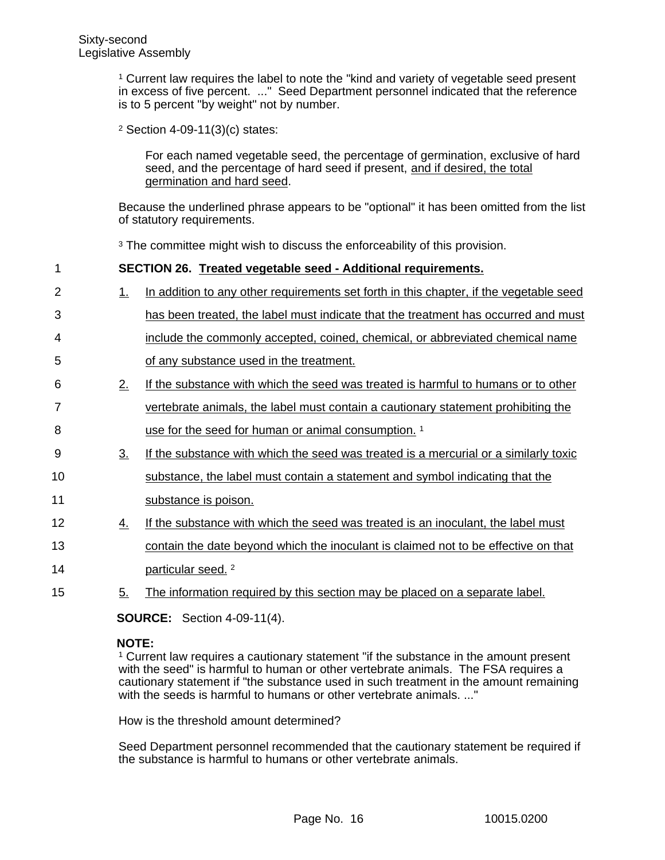<sup>1</sup> Current law requires the label to note the "kind and variety of vegetable seed present in excess of five percent. ..." Seed Department personnel indicated that the reference is to 5 percent "by weight" not by number.

<sup>2</sup> Section 4-09-11(3)(c) states:

For each named vegetable seed, the percentage of germination, exclusive of hard seed, and the percentage of hard seed if present, and if desired, the total germination and hard seed.

Because the underlined phrase appears to be "optional" it has been omitted from the list of statutory requirements.

<sup>3</sup> The committee might wish to discuss the enforceability of this provision.

| 1              |                   | SECTION 26. Treated vegetable seed - Additional requirements.                          |
|----------------|-------------------|----------------------------------------------------------------------------------------|
| $\overline{2}$ | $\perp$           | In addition to any other requirements set forth in this chapter, if the vegetable seed |
| 3              |                   | has been treated, the label must indicate that the treatment has occurred and must     |
| 4              |                   | include the commonly accepted, coined, chemical, or abbreviated chemical name          |
| 5              |                   | of any substance used in the treatment.                                                |
| 6              | 2.                | If the substance with which the seed was treated is harmful to humans or to other      |
| $\overline{7}$ |                   | vertebrate animals, the label must contain a cautionary statement prohibiting the      |
| 8              |                   | use for the seed for human or animal consumption. <sup>1</sup>                         |
| 9              | $\underline{3}$ . | If the substance with which the seed was treated is a mercurial or a similarly toxic   |
| 10             |                   | substance, the label must contain a statement and symbol indicating that the           |
| 11             |                   | substance is poison.                                                                   |
| 12             | <u>4.</u>         | If the substance with which the seed was treated is an inoculant, the label must       |
| 13             |                   | contain the date beyond which the inoculant is claimed not to be effective on that     |
| 14             |                   | particular seed. <sup>2</sup>                                                          |
| 15             | 5 <sub>1</sub>    | The information required by this section may be placed on a separate label.            |

**SOURCE:** Section 4-09-11(4).

# **NOTE:**

<sup>1</sup> Current law requires a cautionary statement "if the substance in the amount present with the seed" is harmful to human or other vertebrate animals. The FSA requires a cautionary statement if "the substance used in such treatment in the amount remaining with the seeds is harmful to humans or other vertebrate animals. ..."

How is the threshold amount determined?

Seed Department personnel recommended that the cautionary statement be required if the substance is harmful to humans or other vertebrate animals.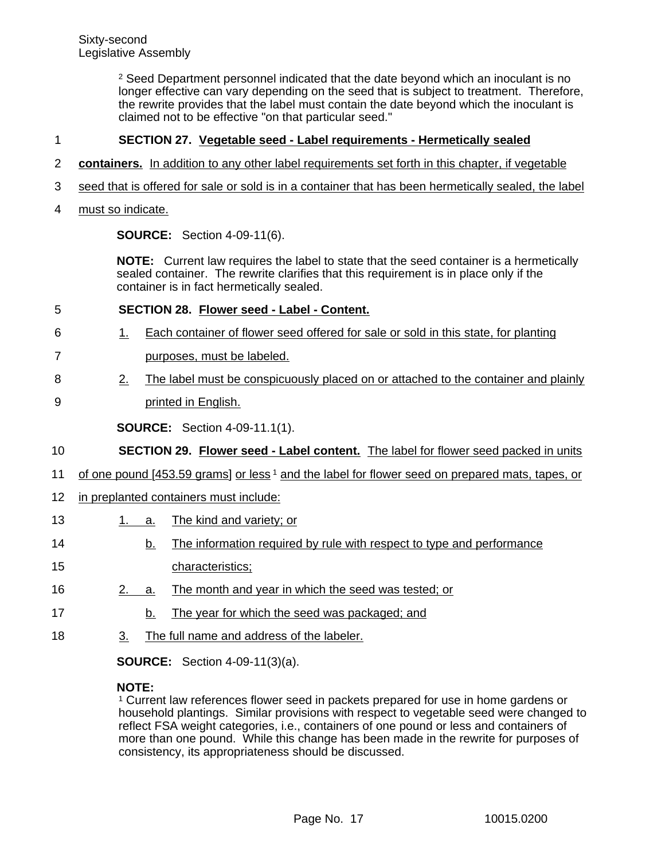<sup>2</sup> Seed Department personnel indicated that the date beyond which an inoculant is no longer effective can vary depending on the seed that is subject to treatment. Therefore, the rewrite provides that the label must contain the date beyond which the inoculant is claimed not to be effective "on that particular seed."

### **SECTION 27. Vegetable seed - Label requirements - Hermetically sealed** 1

- **containers.** In addition to any other label requirements set forth in this chapter, if vegetable 2
- seed that is offered for sale or sold is in a container that has been hermetically sealed, the label 3
- must so indicate. 4

**SOURCE:** Section 4-09-11(6).

**NOTE:** Current law requires the label to state that the seed container is a hermetically sealed container. The rewrite clarifies that this requirement is in place only if the container is in fact hermetically sealed.

### **SECTION 28. Flower seed - Label - Content.** 5

- 1. Each container of flower seed offered for sale or sold in this state, for planting 6
- purposes, must be labeled. 7
- 2. The label must be conspicuously placed on or attached to the container and plainly 8
- printed in English. 9

**SOURCE:** Section 4-09-11.1(1).

- **SECTION 29. Flower seed Label content.** The label for flower seed packed in units 10
- of one pound [453.59 grams] or less <sup>1</sup> and the label for flower seed on prepared mats, tapes, or 11
- in preplanted containers must include: 12
- 1. a. The kind and variety; or 13
- b. The information required by rule with respect to type and performance characteristics; 14 15
- 2. a. The month and year in which the seed was tested; or 16
- b. The year for which the seed was packaged; and 17
- 3. The full name and address of the labeler. 18

**SOURCE:** Section 4-09-11(3)(a).

### **NOTE:**

<sup>1</sup> Current law references flower seed in packets prepared for use in home gardens or household plantings. Similar provisions with respect to vegetable seed were changed to reflect FSA weight categories, i.e., containers of one pound or less and containers of more than one pound. While this change has been made in the rewrite for purposes of consistency, its appropriateness should be discussed.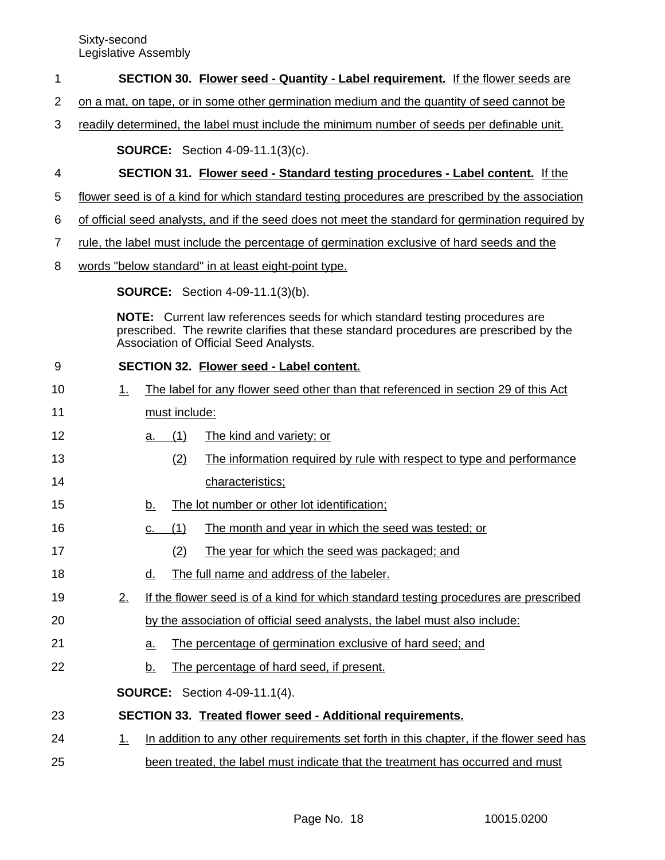### **SECTION 30. Flower seed - Quantity - Label requirement.** If the flower seeds are 1

- on a mat, on tape, or in some other germination medium and the quantity of seed cannot be 2
- readily determined, the label must include the minimum number of seeds per definable unit. 3

**SOURCE:** Section 4-09-11.1(3)(c).

### **SECTION 31. Flower seed - Standard testing procedures - Label content.** If the 4

- flower seed is of a kind for which standard testing procedures are prescribed by the association 5
- of official seed analysts, and if the seed does not meet the standard for germination required by 6
- rule, the label must include the percentage of germination exclusive of hard seeds and the 7
- words "below standard" in at least eight-point type. 8

**SOURCE:** Section 4-09-11.1(3)(b).

**NOTE:** Current law references seeds for which standard testing procedures are prescribed. The rewrite clarifies that these standard procedures are prescribed by the Association of Official Seed Analysts.

| 9  |    | SECTION 32. Flower seed - Label content.                                                |
|----|----|-----------------------------------------------------------------------------------------|
| 10 | 1. | The label for any flower seed other than that referenced in section 29 of this Act      |
| 11 |    | must include:                                                                           |
| 12 |    | The kind and variety; or<br>(1)<br>a.                                                   |
| 13 |    | The information required by rule with respect to type and performance<br>(2)            |
| 14 |    | characteristics;                                                                        |
| 15 |    | The lot number or other lot identification;<br><u>b.</u>                                |
| 16 |    | (1)<br>The month and year in which the seed was tested; or<br>c.                        |
| 17 |    | (2)<br>The year for which the seed was packaged; and                                    |
| 18 |    | The full name and address of the labeler.<br>d.                                         |
| 19 | 2. | If the flower seed is of a kind for which standard testing procedures are prescribed    |
| 20 |    | by the association of official seed analysts, the label must also include:              |
| 21 |    | The percentage of germination exclusive of hard seed; and<br>a.                         |
| 22 |    | The percentage of hard seed, if present.<br><u>b.</u>                                   |
|    |    | <b>SOURCE:</b> Section 4-09-11.1(4).                                                    |
| 23 |    | SECTION 33. Treated flower seed - Additional requirements.                              |
| 24 | 1. | In addition to any other requirements set forth in this chapter, if the flower seed has |
| 25 |    | been treated, the label must indicate that the treatment has occurred and must          |
|    |    |                                                                                         |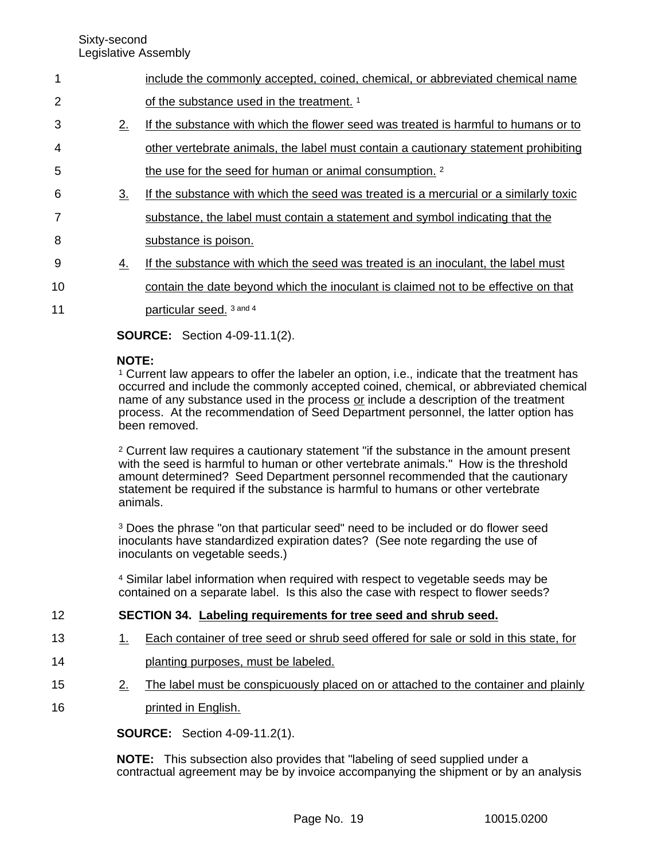| $\blacktriangleleft$ |    | include the commonly accepted, coined, chemical, or abbreviated chemical name        |
|----------------------|----|--------------------------------------------------------------------------------------|
| 2                    |    | of the substance used in the treatment. 1                                            |
| 3                    | 2. | If the substance with which the flower seed was treated is harmful to humans or to   |
| $\overline{4}$       |    | other vertebrate animals, the label must contain a cautionary statement prohibiting  |
| $5\phantom{.0}$      |    | the use for the seed for human or animal consumption. <sup>2</sup>                   |
| 6                    | 3. | If the substance with which the seed was treated is a mercurial or a similarly toxic |
| 7                    |    | substance, the label must contain a statement and symbol indicating that the         |
| 8                    |    | substance is poison.                                                                 |
| 9                    | 4. | If the substance with which the seed was treated is an inoculant, the label must     |
|                      |    |                                                                                      |

- contain the date beyond which the inoculant is claimed not to be effective on that 10
- particular seed. 3 and 4 11

**SOURCE:** Section 4-09-11.1(2).

# **NOTE:**

<sup>1</sup> Current law appears to offer the labeler an option, i.e., indicate that the treatment has occurred and include the commonly accepted coined, chemical, or abbreviated chemical name of any substance used in the process or include a description of the treatment process. At the recommendation of Seed Department personnel, the latter option has been removed.

<sup>2</sup> Current law requires a cautionary statement "if the substance in the amount present with the seed is harmful to human or other vertebrate animals." How is the threshold amount determined? Seed Department personnel recommended that the cautionary statement be required if the substance is harmful to humans or other vertebrate animals.

<sup>3</sup> Does the phrase "on that particular seed" need to be included or do flower seed inoculants have standardized expiration dates? (See note regarding the use of inoculants on vegetable seeds.)

<sup>4</sup> Similar label information when required with respect to vegetable seeds may be contained on a separate label. Is this also the case with respect to flower seeds?

### **SECTION 34. Labeling requirements for tree seed and shrub seed.** 12

- 1. Each container of tree seed or shrub seed offered for sale or sold in this state, for 13
- planting purposes, must be labeled. 14
	- 2. The label must be conspicuously placed on or attached to the container and plainly
- printed in English. 16

15

**SOURCE:** Section 4-09-11.2(1).

**NOTE:** This subsection also provides that "labeling of seed supplied under a contractual agreement may be by invoice accompanying the shipment or by an analysis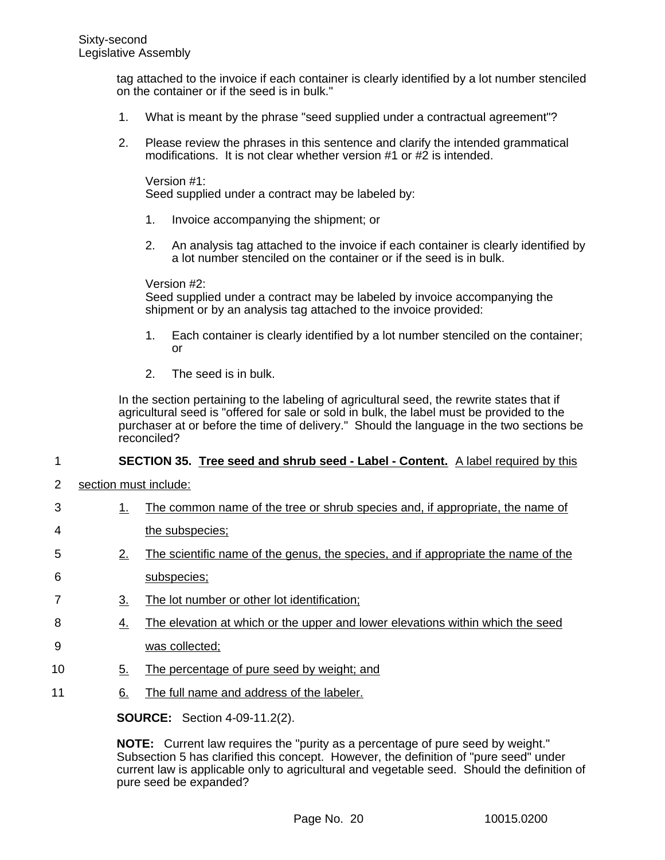tag attached to the invoice if each container is clearly identified by a lot number stenciled on the container or if the seed is in bulk."

- 1. What is meant by the phrase "seed supplied under a contractual agreement"?
- 2. Please review the phrases in this sentence and clarify the intended grammatical modifications. It is not clear whether version #1 or #2 is intended.

Version #1: Seed supplied under a contract may be labeled by:

- 1. Invoice accompanying the shipment; or
- 2. An analysis tag attached to the invoice if each container is clearly identified by a lot number stenciled on the container or if the seed is in bulk.

Version #2:

Seed supplied under a contract may be labeled by invoice accompanying the shipment or by an analysis tag attached to the invoice provided:

- 1. Each container is clearly identified by a lot number stenciled on the container; or
- 2. The seed is in bulk.

In the section pertaining to the labeling of agricultural seed, the rewrite states that if agricultural seed is "offered for sale or sold in bulk, the label must be provided to the purchaser at or before the time of delivery." Should the language in the two sections be reconciled?

#### **SECTION 35. Tree seed and shrub seed - Label - Content.** A label required by this 1

- section must include: 2
- 1. The common name of the tree or shrub species and, if appropriate, the name of 3
- the subspecies; 4
- 2. The scientific name of the genus, the species, and if appropriate the name of the subspecies; 5 6
- 3. The lot number or other lot identification; 7
- 4. The elevation at which or the upper and lower elevations within which the seed 8
- was collected; 9
- 5. The percentage of pure seed by weight; and 10
- 6. The full name and address of the labeler. 11

**SOURCE:** Section 4-09-11.2(2).

**NOTE:** Current law requires the "purity as a percentage of pure seed by weight." Subsection 5 has clarified this concept. However, the definition of "pure seed" under current law is applicable only to agricultural and vegetable seed. Should the definition of pure seed be expanded?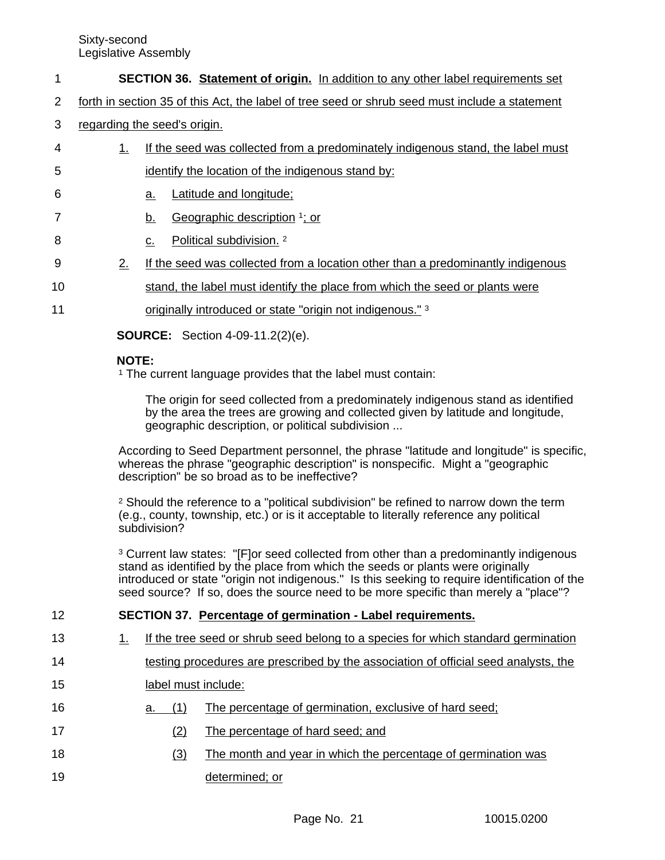- **SECTION 36. Statement of origin.** In addition to any other label requirements set 1
- forth in section 35 of this Act, the label of tree seed or shrub seed must include a statement 2
- regarding the seed's origin. 3
- 1. If the seed was collected from a predominately indigenous stand, the label must identify the location of the indigenous stand by: 4 5
- a. Latitude and longitude; 6
- b. Geographic description <sup>1</sup>; or 7
- c. Political subdivision. <sup>2</sup> 8
- 2. If the seed was collected from a location other than a predominantly indigenous 9
- stand, the label must identify the place from which the seed or plants were 10
- originally introduced or state "origin not indigenous." <sup>3</sup> 11

**SOURCE:** Section 4-09-11.2(2)(e).

# **NOTE:**

<sup>1</sup> The current language provides that the label must contain:

The origin for seed collected from a predominately indigenous stand as identified by the area the trees are growing and collected given by latitude and longitude, geographic description, or political subdivision ...

According to Seed Department personnel, the phrase "latitude and longitude" is specific, whereas the phrase "geographic description" is nonspecific. Might a "geographic description" be so broad as to be ineffective?

<sup>2</sup> Should the reference to a "political subdivision" be refined to narrow down the term (e.g., county, township, etc.) or is it acceptable to literally reference any political subdivision?

<sup>3</sup> Current law states: "[F]or seed collected from other than a predominantly indigenous stand as identified by the place from which the seeds or plants were originally introduced or state "origin not indigenous." Is this seeking to require identification of the seed source? If so, does the source need to be more specific than merely a "place"?

- **SECTION 37. Percentage of germination Label requirements.** 12
- 1. If the tree seed or shrub seed belong to a species for which standard germination 13
- testing procedures are prescribed by the association of official seed analysts, the 14
- label must include: 15
- a. (1) The percentage of germination, exclusive of hard seed; 16
- (2) The percentage of hard seed; and 17
- (3) The month and year in which the percentage of germination was determined; or 18 19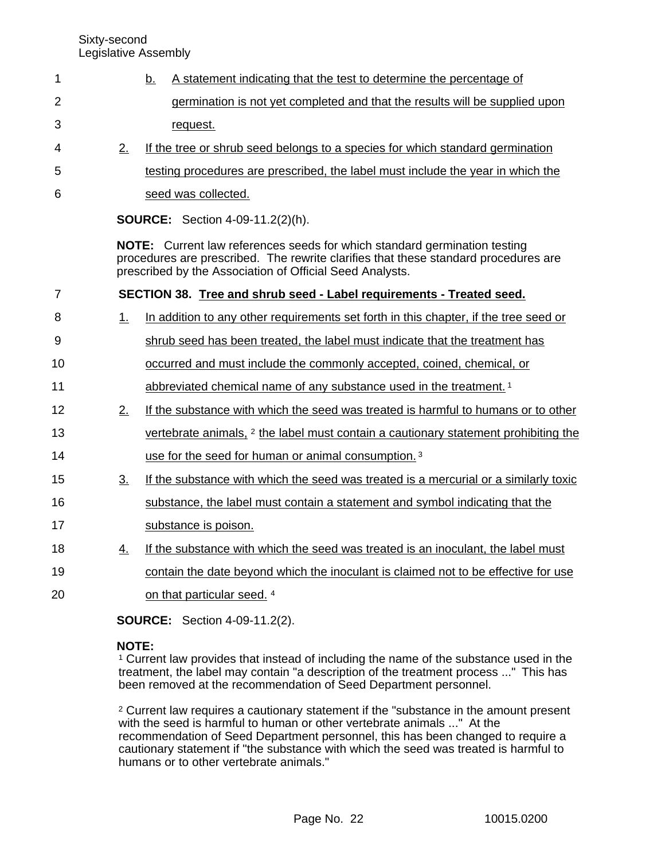- b. A statement indicating that the test to determine the percentage of germination is not yet completed and that the results will be supplied upon request. 1 2 3
- 2. If the tree or shrub seed belongs to a species for which standard germination 4
- testing procedures are prescribed, the label must include the year in which the 5
- seed was collected. 6

**SOURCE:** Section 4-09-11.2(2)(h).

**NOTE:** Current law references seeds for which standard germination testing procedures are prescribed. The rewrite clarifies that these standard procedures are prescribed by the Association of Official Seed Analysts.

**SECTION 38. Tree and shrub seed - Label requirements - Treated seed.** 1. In addition to any other requirements set forth in this chapter, if the tree seed or shrub seed has been treated, the label must indicate that the treatment has occurred and must include the commonly accepted, coined, chemical, or abbreviated chemical name of any substance used in the treatment. <sup>1</sup> 2. If the substance with which the seed was treated is harmful to humans or to other vertebrate animals, <sup>2</sup> the label must contain a cautionary statement prohibiting the use for the seed for human or animal consumption. <sup>3</sup> 3. If the substance with which the seed was treated is a mercurial or a similarly toxic substance, the label must contain a statement and symbol indicating that the substance is poison. 4. If the substance with which the seed was treated is an inoculant, the label must contain the date beyond which the inoculant is claimed not to be effective for use on that particular seed. <sup>4</sup> 7 8 9 10 11 12 13 14 15 16 17 18 19 20

**SOURCE:** Section 4-09-11.2(2).

# **NOTE:**

<sup>1</sup> Current law provides that instead of including the name of the substance used in the treatment, the label may contain "a description of the treatment process ..." This has been removed at the recommendation of Seed Department personnel.

<sup>2</sup> Current law requires a cautionary statement if the "substance in the amount present with the seed is harmful to human or other vertebrate animals ..." At the recommendation of Seed Department personnel, this has been changed to require a cautionary statement if "the substance with which the seed was treated is harmful to humans or to other vertebrate animals."